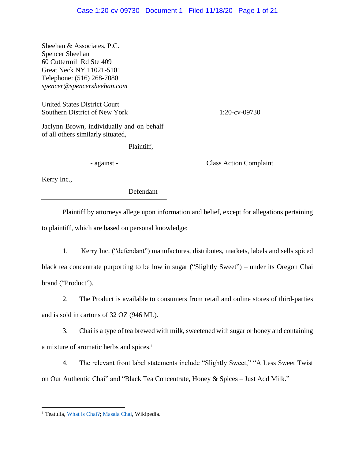Sheehan & Associates, P.C. Spencer Sheehan 60 Cuttermill Rd Ste 409 Great Neck NY 11021-5101 Telephone: (516) 268-7080 *spencer@spencersheehan.com*

United States District Court Southern District of New York 1:20-cv-09730

Jaclynn Brown, individually and on behalf of all others similarly situated,

Plaintiff,

Kerry Inc.,

Defendant

- against - Class Action Complaint

Plaintiff by attorneys allege upon information and belief, except for allegations pertaining to plaintiff, which are based on personal knowledge:

1. Kerry Inc. ("defendant") manufactures, distributes, markets, labels and sells spiced black tea concentrate purporting to be low in sugar ("Slightly Sweet") – under its Oregon Chai brand ("Product").

2. The Product is available to consumers from retail and online stores of third-parties and is sold in cartons of 32 OZ (946 ML).

3. Chai is a type of tea brewed with milk, sweetened with sugar or honey and containing a mixture of aromatic herbs and spices.<sup>1</sup>

4. The relevant front label statements include "Slightly Sweet," "A Less Sweet Twist on Our Authentic Chai" and "Black Tea Concentrate, Honey & Spices – Just Add Milk."

<sup>&</sup>lt;sup>1</sup> Teatulia[, What is Chai?;](https://www.teatulia.com/tea-varieties/what-is-chai.htm) [Masala Chai,](https://en.wikipedia.org/wiki/Masala_chai) Wikipedia.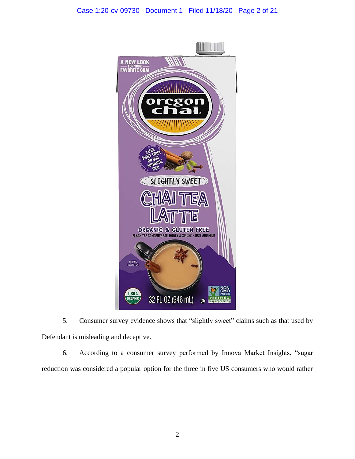# Case 1:20-cv-09730 Document 1 Filed 11/18/20 Page 2 of 21



5. Consumer survey evidence shows that "slightly sweet" claims such as that used by Defendant is misleading and deceptive.

6. According to a consumer survey performed by Innova Market Insights, "sugar reduction was considered a popular option for the three in five US consumers who would rather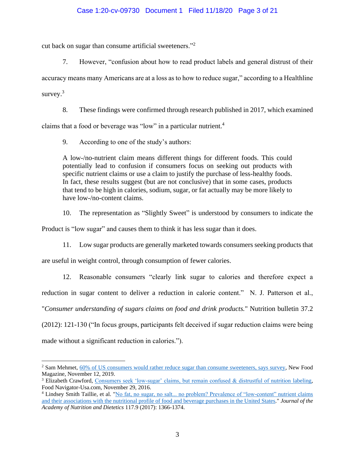# Case 1:20-cv-09730 Document 1 Filed 11/18/20 Page 3 of 21

cut back on sugar than consume artificial sweeteners."<sup>2</sup>

7. However, "confusion about how to read product labels and general distrust of their

accuracy means many Americans are at a loss as to how to reduce sugar," according to a Healthline survey.<sup>3</sup>

8. These findings were confirmed through research published in 2017, which examined

claims that a food or beverage was "low" in a particular nutrient.<sup>4</sup>

9. According to one of the study's authors:

A low-/no-nutrient claim means different things for different foods. This could potentially lead to confusion if consumers focus on seeking out products with specific nutrient claims or use a claim to justify the purchase of less-healthy foods. In fact, these results suggest (but are not conclusive) that in some cases, products that tend to be high in calories, sodium, sugar, or fat actually may be more likely to have low-/no-content claims.

10. The representation as "Slightly Sweet" is understood by consumers to indicate the

Product is "low sugar" and causes them to think it has less sugar than it does.

11. Low sugar products are generally marketed towards consumers seeking products that

are useful in weight control, through consumption of fewer calories.

12. Reasonable consumers "clearly link sugar to calories and therefore expect a

reduction in sugar content to deliver a reduction in calorie content." N. J. Patterson et al.,

"*Consumer understanding of sugars claims on food and drink products.*" Nutrition bulletin 37.2

(2012): 121-130 ("In focus groups, participants felt deceived if sugar reduction claims were being made without a significant reduction in calories.").

<sup>&</sup>lt;sup>2</sup> Sam Mehmet, [60% of US consumers would rather reduce sugar than consume sweeteners, says survey,](https://www.newfoodmagazine.com/news/98754/60-of-us-consumers-would-rather-reduce-sugar-than-consume-sweeteners-says-survey/) New Food Magazine, November 12, 2019.

<sup>3</sup> Elizabeth Crawford, [Consumers seek 'low-sugar' claims, but remain confused & distrustful of nutrition](https://www.foodnavigator-usa.com/Article/2016/11/23/Consumer-s-seek-low-sugar-claims-but-distrust-labeling) labeling, Food Navigator-Usa.com, November 29, 2016.

<sup>&</sup>lt;sup>4</sup> Lindsey Smith Taillie, et al. "No fat, no sugar, no salt... no problem? Prevalence of "low-content" nutrient claims [and their associations with the nutritional profile of food and beverage purchases in the United](https://www.ncbi.nlm.nih.gov/pmc/articles/PMC5573644/pdf/nihms860522.pdf) States." *Journal of the Academy of Nutrition and Dietetics* 117.9 (2017): 1366-1374.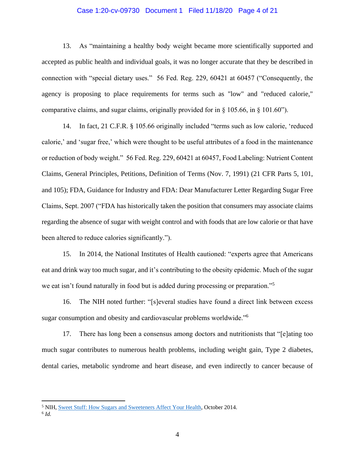### Case 1:20-cv-09730 Document 1 Filed 11/18/20 Page 4 of 21

13. As "maintaining a healthy body weight became more scientifically supported and accepted as public health and individual goals, it was no longer accurate that they be described in connection with "special dietary uses." 56 Fed. Reg. 229, 60421 at 60457 ("Consequently, the agency is proposing to place requirements for terms such as "low" and "reduced calorie," comparative claims, and sugar claims, originally provided for in § 105.66, in § 101.60").

14. In fact, 21 C.F.R. § 105.66 originally included "terms such as low calorie, 'reduced calorie,' and 'sugar free,' which were thought to be useful attributes of a food in the maintenance or reduction of body weight." 56 Fed. Reg. 229, 60421 at 60457, Food Labeling: Nutrient Content Claims, General Principles, Petitions, Definition of Terms (Nov. 7, 1991) (21 CFR Parts 5, 101, and 105); FDA, Guidance for Industry and FDA: Dear Manufacturer Letter Regarding Sugar Free Claims, Sept. 2007 ("FDA has historically taken the position that consumers may associate claims regarding the absence of sugar with weight control and with foods that are low calorie or that have been altered to reduce calories significantly.").

15. In 2014, the National Institutes of Health cautioned: "experts agree that Americans eat and drink way too much sugar, and it's contributing to the obesity epidemic. Much of the sugar we eat isn't found naturally in food but is added during processing or preparation."<sup>5</sup>

16. The NIH noted further: "[s]everal studies have found a direct link between excess sugar consumption and obesity and cardiovascular problems worldwide."<sup>6</sup>

17. There has long been a consensus among doctors and nutritionists that "[e]ating too much sugar contributes to numerous health problems, including weight gain, Type 2 diabetes, dental caries, metabolic syndrome and heart disease, and even indirectly to cancer because of

6 *Id.*

<sup>5</sup> NIH[, Sweet Stuff: How Sugars and Sweeteners Affect Your Health,](https://newsinhealth.nih.gov/2014/10/sweet-stuff) October 2014.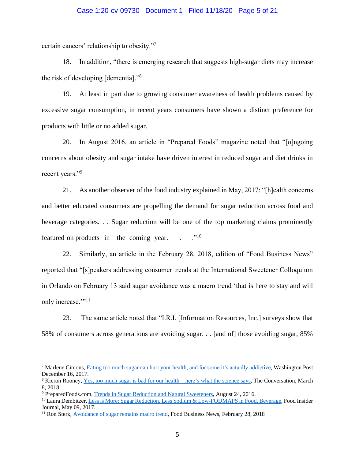### Case 1:20-cv-09730 Document 1 Filed 11/18/20 Page 5 of 21

certain cancers' relationship to obesity."<sup>7</sup>

18. In addition, "there is emerging research that suggests high-sugar diets may increase the risk of developing [dementia]."<sup>8</sup>

19. At least in part due to growing consumer awareness of health problems caused by excessive sugar consumption, in recent years consumers have shown a distinct preference for products with little or no added sugar.

20. In August 2016, an article in "Prepared Foods" magazine noted that "[o]ngoing concerns about obesity and sugar intake have driven interest in reduced sugar and diet drinks in recent years."<sup>9</sup>

21. As another observer of the food industry explained in May, 2017: "[h]ealth concerns and better educated consumers are propelling the demand for sugar reduction across food and beverage categories. . . Sugar reduction will be one of the top marketing claims prominently featured on products in the coming year.  $\cdot$  .  $\cdot$  ."<sup>10</sup>

22. Similarly, an article in the February 28, 2018, edition of "Food Business News" reported that "[s]peakers addressing consumer trends at the International Sweetener Colloquium in Orlando on February 13 said sugar avoidance was a macro trend 'that is here to stay and will only increase."<sup>11</sup>

23. The same article noted that "I.R.I. [Information Resources, Inc.] surveys show that 58% of consumers across generations are avoiding sugar. . . [and of] those avoiding sugar, 85%

<sup>&</sup>lt;sup>7</sup> Marlene Cimons[, Eating too much sugar can hurt your health, and for some it's actually addictive,](https://www.washingtonpost.com/national/health-science/eating-too-much-sugar-can-hurt-your-health-and-for-some-its-actually-addictive/2017/12/15/3853d3e8-de8b-11e7-bbd0-9dfb2e37492a_story.html) Washington Post December 16, 2017.

<sup>8</sup> Kieron Rooney, [Yes, too much sugar is bad for our health –](http://theconversation.com/yes-too-much-sugar-is-bad-for-our-health-heres-what-the-science-says-92030) here's what the science says, The Conversation, March 8, 2018.

<sup>9</sup> PreparedFoods.com, [Trends in Sugar Reduction and Natural Sweeteners,](https://www.preparedfoods.com/articles/118643-trends-in-sugar-reduction-and-natural-sweeteners) August 24, 2016.

<sup>10</sup> Laura Dembitzer[, Less is More: Sugar Reduction, Less Sodium & Low-FODMAPS in Food, Beverage,](https://www.foodinsiderjournal.com/formulation-solutions/less-more-sugar-reduction-less-sodium-low-fodmaps-food-beverage) Food Insider Journal, May 09, 2017.

<sup>&</sup>lt;sup>11</sup> Ron Sterk, [Avoidance of sugar remains macro trend,](https://www.foodbusinessnews.net/articles/11380-avoidance-of-sugar-remains-macro-trend) Food Business News, February 28, 2018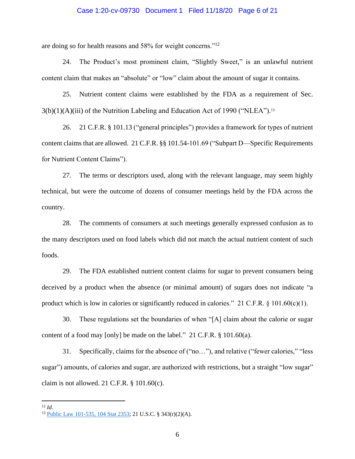#### Case 1:20-cv-09730 Document 1 Filed 11/18/20 Page 6 of 21

are doing so for health reasons and 58% for weight concerns."<sup>12</sup>

24. The Product's most prominent claim, "Slightly Sweet," is an unlawful nutrient content claim that makes an "absolute" or "low" claim about the amount of sugar it contains.

25. Nutrient content claims were established by the FDA as a requirement of Sec. 3(b)(1)(A)(iii) of the Nutrition Labeling and Education Act of 1990 ("NLEA"). 13

26. 21 C.F.R. § 101.13 ("general principles") provides a framework for types of nutrient content claims that are allowed. 21 C.F.R. §§ 101.54-101.69 ("Subpart D—Specific Requirements for Nutrient Content Claims").

27. The terms or descriptors used, along with the relevant language, may seem highly technical, but were the outcome of dozens of consumer meetings held by the FDA across the country.

28. The comments of consumers at such meetings generally expressed confusion as to the many descriptors used on food labels which did not match the actual nutrient content of such foods.

29. The FDA established nutrient content claims for sugar to prevent consumers being deceived by a product when the absence (or minimal amount) of sugars does not indicate "a product which is low in calories or significantly reduced in calories." 21 C.F.R.  $\S$  101.60(c)(1).

30. These regulations set the boundaries of when "[A] claim about the calorie or sugar content of a food may [only] be made on the label." 21 C.F.R. § 101.60(a).

31. Specifically, claims for the absence of ("no…"), and relative ("fewer calories," "less sugar") amounts, of calories and sugar, are authorized with restrictions, but a straight "low sugar" claim is not allowed. 21 C.F.R.  $\S$  101.60(c).

<sup>12</sup> *Id*.

<sup>13</sup> [Public Law 101-535, 104 Stat 2353;](https://www.govinfo.gov/content/pkg/STATUTE-104/pdf/STATUTE-104-Pg2353.pdf) 21 U.S.C. § 343(r)(2)(A).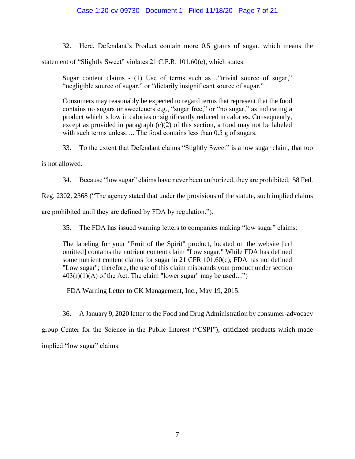# Case 1:20-cv-09730 Document 1 Filed 11/18/20 Page 7 of 21

32. Here, Defendant's Product contain more 0.5 grams of sugar, which means the

statement of "Slightly Sweet" violates 21 C.F.R. 101.60(c), which states:

Sugar content claims - (1) Use of terms such as…"trivial source of sugar," "negligible source of sugar," or "dietarily insignificant source of sugar."

Consumers may reasonably be expected to regard terms that represent that the food contains no sugars or sweeteners e.g., "sugar free," or "no sugar," as indicating a product which is low in calories or significantly reduced in calories. Consequently, except as provided in paragraph  $(c)(2)$  of this section, a food may not be labeled with such terms unless.... The food contains less than 0.5 g of sugars.

33. To the extent that Defendant claims "Slightly Sweet" is a low sugar claim, that too

is not allowed.

34. Because "low sugar" claims have never been authorized, they are prohibited. 58 Fed.

Reg. 2302, 2368 ("The agency stated that under the provisions of the statute, such implied claims

are prohibited until they are defined by FDA by regulation.").

35. The FDA has issued warning letters to companies making "low sugar" claims:

The labeling for your "Fruit of the Spirit" product, located on the website [url omitted] contains the nutrient content claim "Low sugar." While FDA has defined some nutrient content claims for sugar in 21 CFR 101.60(c), FDA has not defined "Low sugar"; therefore, the use of this claim misbrands your product under section  $403(r)(1)(A)$  of the Act. The claim "lower sugar" may be used...")

FDA Warning Letter to CK Management, Inc., May 19, 2015.

36. A January 9, 2020 letter to the Food and Drug Administration by consumer-advocacy

group Center for the Science in the Public Interest ("CSPI"), criticized products which made implied "low sugar" claims: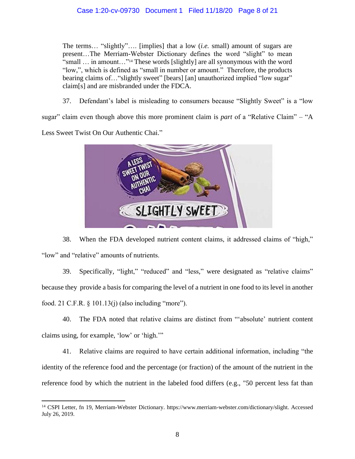# Case 1:20-cv-09730 Document 1 Filed 11/18/20 Page 8 of 21

The terms… "slightly"…. [implies] that a low (*i.e.* small) amount of sugars are present…The Merriam-Webster Dictionary defines the word "slight" to mean "small … in amount…" <sup>14</sup> These words [slightly] are all synonymous with the word "low,", which is defined as "small in number or amount." Therefore, the products bearing claims of... "slightly sweet" [bears] [an] unauthorized implied "low sugar" claim[s] and are misbranded under the FDCA.

37. Defendant's label is misleading to consumers because "Slightly Sweet" is a "low

sugar" claim even though above this more prominent claim is *part* of a "Relative Claim" – "A

Less Sweet Twist On Our Authentic Chai."



38. When the FDA developed nutrient content claims, it addressed claims of "high," "low" and "relative" amounts of nutrients.

39. Specifically, "light," "reduced" and "less," were designated as "relative claims" because they provide a basis for comparing the level of a nutrient in one food to its level in another food. 21 C.F.R. § 101.13(j) (also including "more").

40. The FDA noted that relative claims are distinct from "'absolute' nutrient content claims using, for example, 'low' or 'high.'"

41. Relative claims are required to have certain additional information, including "the identity of the reference food and the percentage (or fraction) of the amount of the nutrient in the reference food by which the nutrient in the labeled food differs (e.g., "50 percent less fat than

<sup>14</sup> CSPI Letter, fn 19, Merriam-Webster Dictionary. https://www.merriam-webster.com/dictionary/slight. Accessed July 26, 2019.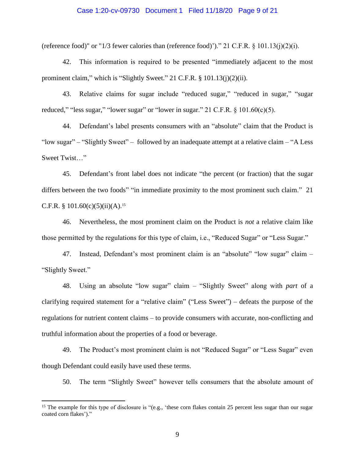#### Case 1:20-cv-09730 Document 1 Filed 11/18/20 Page 9 of 21

(reference food)" or "1/3 fewer calories than (reference food)')." 21 C.F.R.  $\S$  101.13(j)(2)(i).

42. This information is required to be presented "immediately adjacent to the most prominent claim," which is "Slightly Sweet." 21 C.F.R. § 101.13(j)(2)(ii).

43. Relative claims for sugar include "reduced sugar," "reduced in sugar," "sugar reduced," "less sugar," "lower sugar" or "lower in sugar." 21 C.F.R.  $\S$  101.60(c)(5).

44. Defendant's label presents consumers with an "absolute" claim that the Product is "low sugar" – "Slightly Sweet" – followed by an inadequate attempt at a relative claim – "A Less Sweet Twist…"

45. Defendant's front label does not indicate "the percent (or fraction) that the sugar differs between the two foods" "in immediate proximity to the most prominent such claim." 21 C.F.R. § 101.60(c)(5)(ii)(A).<sup>15</sup>

46. Nevertheless, the most prominent claim on the Product is *not* a relative claim like those permitted by the regulations for this type of claim, i.e., "Reduced Sugar" or "Less Sugar."

47. Instead, Defendant's most prominent claim is an "absolute" "low sugar" claim – "Slightly Sweet."

48. Using an absolute "low sugar" claim – "Slightly Sweet" along with *part* of a clarifying required statement for a "relative claim" ("Less Sweet") – defeats the purpose of the regulations for nutrient content claims – to provide consumers with accurate, non-conflicting and truthful information about the properties of a food or beverage.

49. The Product's most prominent claim is not "Reduced Sugar" or "Less Sugar" even though Defendant could easily have used these terms.

50. The term "Slightly Sweet" however tells consumers that the absolute amount of

<sup>&</sup>lt;sup>15</sup> The example for this type of disclosure is " $(e.g., 'these corn flakes contain 25 percent less sugar than our sugar$ coated corn flakes')."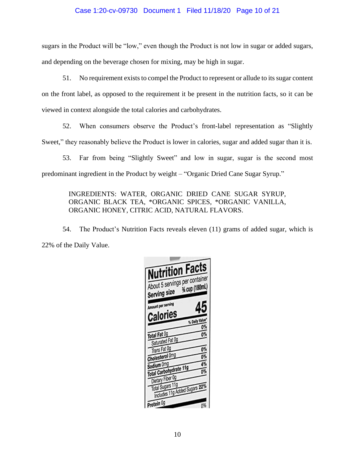## Case 1:20-cv-09730 Document 1 Filed 11/18/20 Page 10 of 21

sugars in the Product will be "low," even though the Product is not low in sugar or added sugars, and depending on the beverage chosen for mixing, may be high in sugar.

51. No requirement exists to compel the Product to represent or allude to itssugar content on the front label, as opposed to the requirement it be present in the nutrition facts, so it can be viewed in context alongside the total calories and carbohydrates.

52. When consumers observe the Product's front-label representation as "Slightly Sweet," they reasonably believe the Product is lower in calories, sugar and added sugar than it is.

53. Far from being "Slightly Sweet" and low in sugar, sugar is the second most predominant ingredient in the Product by weight – "Organic Dried Cane Sugar Syrup."

# INGREDIENTS: WATER, ORGANIC DRIED CANE SUGAR SYRUP, ORGANIC BLACK TEA, \*ORGANIC SPICES, \*ORGANIC VANILLA, ORGANIC HONEY, CITRIC ACID, NATURAL FLAVORS.

54. The Product's Nutrition Facts reveals eleven (11) grams of added sugar, which is 22% of the Daily Value.

| <b>Nutrition Facts</b>                            |                     |
|---------------------------------------------------|---------------------|
| About 5 servings per container<br>Serving size    | % cup (180mL)       |
| Amount per serving                                | 45                  |
| Calories                                          |                     |
|                                                   | % Daily Value<br>0% |
| Total Fat 0g<br>Saturated Fat 0g                  | 0%                  |
| Trans Fat Og                                      | 0%                  |
| Cholesterol Omg                                   | 0%                  |
| Sodium Omg                                        | 4%                  |
| Total Carbohydrate 11g                            | 0%                  |
| Dietary Fiber 0g                                  |                     |
| Total Sugars 11g<br>Includes 11g Added Sugars 22% |                     |
|                                                   |                     |
| Protein Og                                        | 0%                  |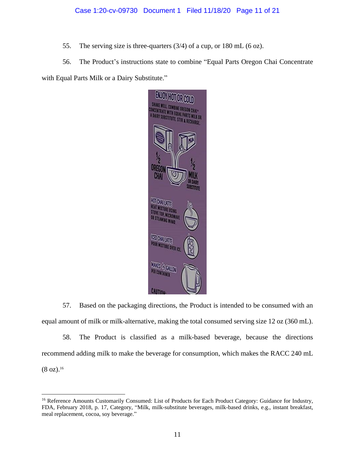# Case 1:20-cv-09730 Document 1 Filed 11/18/20 Page 11 of 21

55. The serving size is three-quarters (3/4) of a cup, or 180 mL (6 oz).

56. The Product's instructions state to combine "Equal Parts Oregon Chai Concentrate with Equal Parts Milk or a Dairy Substitute."



57. Based on the packaging directions, the Product is intended to be consumed with an equal amount of milk or milk-alternative, making the total consumed serving size 12 oz (360 mL).

58. The Product is classified as a milk-based beverage, because the directions recommend adding milk to make the beverage for consumption, which makes the RACC 240 mL  $(8 \text{ oz})$ .<sup>16</sup>

<sup>&</sup>lt;sup>16</sup> Reference Amounts Customarily Consumed: List of Products for Each Product Category: Guidance for Industry, FDA, February 2018, p. 17, Category, "Milk, milk-substitute beverages, milk-based drinks, e.g., instant breakfast, meal replacement, cocoa, soy beverage."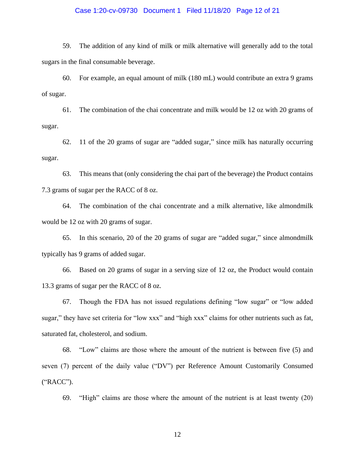### Case 1:20-cv-09730 Document 1 Filed 11/18/20 Page 12 of 21

59. The addition of any kind of milk or milk alternative will generally add to the total sugars in the final consumable beverage.

60. For example, an equal amount of milk (180 mL) would contribute an extra 9 grams of sugar.

61. The combination of the chai concentrate and milk would be 12 oz with 20 grams of sugar.

62. 11 of the 20 grams of sugar are "added sugar," since milk has naturally occurring sugar.

63. This means that (only considering the chai part of the beverage) the Product contains 7.3 grams of sugar per the RACC of 8 oz.

64. The combination of the chai concentrate and a milk alternative, like almondmilk would be 12 oz with 20 grams of sugar.

65. In this scenario, 20 of the 20 grams of sugar are "added sugar," since almondmilk typically has 9 grams of added sugar.

66. Based on 20 grams of sugar in a serving size of 12 oz, the Product would contain 13.3 grams of sugar per the RACC of 8 oz.

67. Though the FDA has not issued regulations defining "low sugar" or "low added sugar," they have set criteria for "low xxx" and "high xxx" claims for other nutrients such as fat, saturated fat, cholesterol, and sodium.

68. "Low" claims are those where the amount of the nutrient is between five (5) and seven (7) percent of the daily value ("DV") per Reference Amount Customarily Consumed ("RACC").

69. "High" claims are those where the amount of the nutrient is at least twenty (20)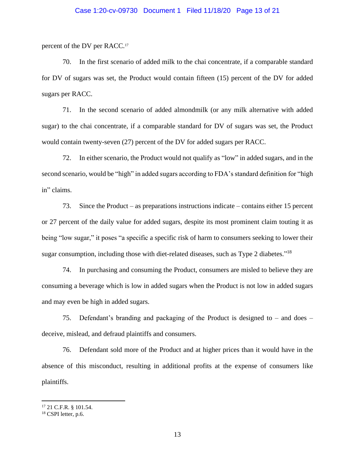### Case 1:20-cv-09730 Document 1 Filed 11/18/20 Page 13 of 21

percent of the DV per RACC.<sup>17</sup>

70. In the first scenario of added milk to the chai concentrate, if a comparable standard for DV of sugars was set, the Product would contain fifteen (15) percent of the DV for added sugars per RACC.

71. In the second scenario of added almondmilk (or any milk alternative with added sugar) to the chai concentrate, if a comparable standard for DV of sugars was set, the Product would contain twenty-seven (27) percent of the DV for added sugars per RACC.

72. In either scenario, the Product would not qualify as "low" in added sugars, and in the second scenario, would be "high" in added sugars according to FDA's standard definition for "high in" claims.

73. Since the Product – as preparations instructions indicate – contains either 15 percent or 27 percent of the daily value for added sugars, despite its most prominent claim touting it as being "low sugar," it poses "a specific a specific risk of harm to consumers seeking to lower their sugar consumption, including those with diet-related diseases, such as Type 2 diabetes."<sup>18</sup>

74. In purchasing and consuming the Product, consumers are misled to believe they are consuming a beverage which is low in added sugars when the Product is not low in added sugars and may even be high in added sugars.

75. Defendant's branding and packaging of the Product is designed to – and does – deceive, mislead, and defraud plaintiffs and consumers.

76. Defendant sold more of the Product and at higher prices than it would have in the absence of this misconduct, resulting in additional profits at the expense of consumers like plaintiffs.

<sup>17</sup> 21 C.F.R. § 101.54.

<sup>&</sup>lt;sup>18</sup> CSPI letter, p.6.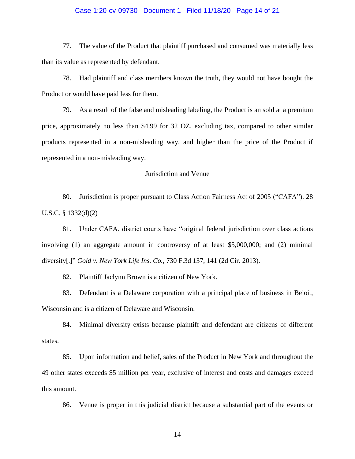### Case 1:20-cv-09730 Document 1 Filed 11/18/20 Page 14 of 21

77. The value of the Product that plaintiff purchased and consumed was materially less than its value as represented by defendant.

78. Had plaintiff and class members known the truth, they would not have bought the Product or would have paid less for them.

79. As a result of the false and misleading labeling, the Product is an sold at a premium price, approximately no less than \$4.99 for 32 OZ, excluding tax, compared to other similar products represented in a non-misleading way, and higher than the price of the Product if represented in a non-misleading way.

### Jurisdiction and Venue

80. Jurisdiction is proper pursuant to Class Action Fairness Act of 2005 ("CAFA"). 28 U.S.C. § 1332(d)(2)

81. Under CAFA, district courts have "original federal jurisdiction over class actions involving (1) an aggregate amount in controversy of at least \$5,000,000; and (2) minimal diversity[.]" *Gold v. New York Life Ins. Co.*, 730 F.3d 137, 141 (2d Cir. 2013).

82. Plaintiff Jaclynn Brown is a citizen of New York.

83. Defendant is a Delaware corporation with a principal place of business in Beloit, Wisconsin and is a citizen of Delaware and Wisconsin.

84. Minimal diversity exists because plaintiff and defendant are citizens of different states.

85. Upon information and belief, sales of the Product in New York and throughout the 49 other states exceeds \$5 million per year, exclusive of interest and costs and damages exceed this amount.

86. Venue is proper in this judicial district because a substantial part of the events or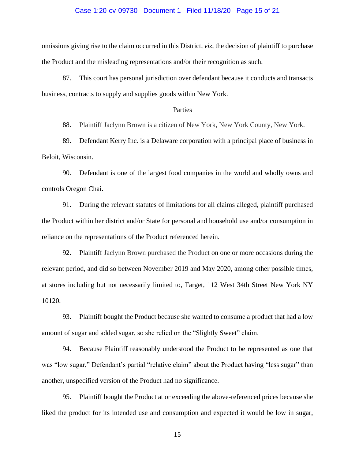#### Case 1:20-cv-09730 Document 1 Filed 11/18/20 Page 15 of 21

omissions giving rise to the claim occurred in this District, *viz*, the decision of plaintiff to purchase the Product and the misleading representations and/or their recognition as such.

87. This court has personal jurisdiction over defendant because it conducts and transacts business, contracts to supply and supplies goods within New York.

### Parties

88. Plaintiff Jaclynn Brown is a citizen of New York, New York County, New York.

89. Defendant Kerry Inc. is a Delaware corporation with a principal place of business in Beloit, Wisconsin.

90. Defendant is one of the largest food companies in the world and wholly owns and controls Oregon Chai.

91. During the relevant statutes of limitations for all claims alleged, plaintiff purchased the Product within her district and/or State for personal and household use and/or consumption in reliance on the representations of the Product referenced herein.

92. Plaintiff Jaclynn Brown purchased the Product on one or more occasions during the relevant period, and did so between November 2019 and May 2020, among other possible times, at stores including but not necessarily limited to, Target, 112 West 34th Street New York NY 10120.

93. Plaintiff bought the Product because she wanted to consume a product that had a low amount of sugar and added sugar, so she relied on the "Slightly Sweet" claim.

94. Because Plaintiff reasonably understood the Product to be represented as one that was "low sugar," Defendant's partial "relative claim" about the Product having "less sugar" than another, unspecified version of the Product had no significance.

95. Plaintiff bought the Product at or exceeding the above-referenced prices because she liked the product for its intended use and consumption and expected it would be low in sugar,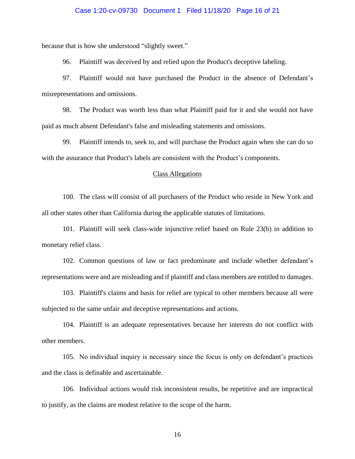### Case 1:20-cv-09730 Document 1 Filed 11/18/20 Page 16 of 21

because that is how she understood "slightly sweet."

96. Plaintiff was deceived by and relied upon the Product's deceptive labeling.

97. Plaintiff would not have purchased the Product in the absence of Defendant's misrepresentations and omissions.

98. The Product was worth less than what Plaintiff paid for it and she would not have paid as much absent Defendant's false and misleading statements and omissions.

99. Plaintiff intends to, seek to, and will purchase the Product again when she can do so with the assurance that Product's labels are consistent with the Product's components.

#### Class Allegations

100. The class will consist of all purchasers of the Product who reside in New York and all other states other than California during the applicable statutes of limitations.

101. Plaintiff will seek class-wide injunctive relief based on Rule 23(b) in addition to monetary relief class.

102. Common questions of law or fact predominate and include whether defendant's representations were and are misleading and if plaintiff and class members are entitled to damages.

103. Plaintiff's claims and basis for relief are typical to other members because all were subjected to the same unfair and deceptive representations and actions.

104. Plaintiff is an adequate representatives because her interests do not conflict with other members.

105. No individual inquiry is necessary since the focus is only on defendant's practices and the class is definable and ascertainable.

106. Individual actions would risk inconsistent results, be repetitive and are impractical to justify, as the claims are modest relative to the scope of the harm.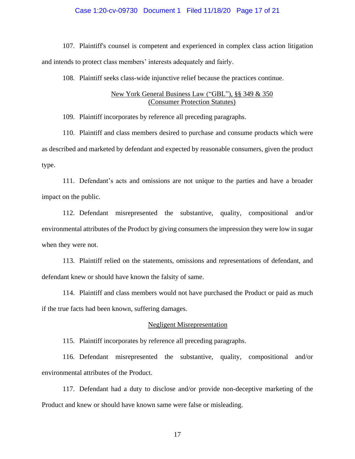### Case 1:20-cv-09730 Document 1 Filed 11/18/20 Page 17 of 21

107. Plaintiff's counsel is competent and experienced in complex class action litigation and intends to protect class members' interests adequately and fairly.

108. Plaintiff seeks class-wide injunctive relief because the practices continue.

### New York General Business Law ("GBL"), §§ 349 & 350 (Consumer Protection Statutes)

109. Plaintiff incorporates by reference all preceding paragraphs.

110. Plaintiff and class members desired to purchase and consume products which were as described and marketed by defendant and expected by reasonable consumers, given the product type.

111. Defendant's acts and omissions are not unique to the parties and have a broader impact on the public.

112. Defendant misrepresented the substantive, quality, compositional and/or environmental attributes of the Product by giving consumers the impression they were low in sugar when they were not.

113. Plaintiff relied on the statements, omissions and representations of defendant, and defendant knew or should have known the falsity of same.

114. Plaintiff and class members would not have purchased the Product or paid as much if the true facts had been known, suffering damages.

#### Negligent Misrepresentation

115. Plaintiff incorporates by reference all preceding paragraphs.

116. Defendant misrepresented the substantive, quality, compositional and/or environmental attributes of the Product.

117. Defendant had a duty to disclose and/or provide non-deceptive marketing of the Product and knew or should have known same were false or misleading.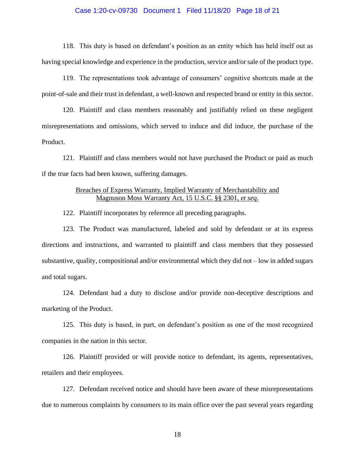#### Case 1:20-cv-09730 Document 1 Filed 11/18/20 Page 18 of 21

118. This duty is based on defendant's position as an entity which has held itself out as having special knowledge and experience in the production, service and/or sale of the product type.

119. The representations took advantage of consumers' cognitive shortcuts made at the point-of-sale and their trust in defendant, a well-known and respected brand or entity in this sector.

120. Plaintiff and class members reasonably and justifiably relied on these negligent misrepresentations and omissions, which served to induce and did induce, the purchase of the Product.

121. Plaintiff and class members would not have purchased the Product or paid as much if the true facts had been known, suffering damages.

# Breaches of Express Warranty, Implied Warranty of Merchantability and Magnuson Moss Warranty Act, 15 U.S.C. §§ 2301, *et seq*.

122. Plaintiff incorporates by reference all preceding paragraphs.

123. The Product was manufactured, labeled and sold by defendant or at its express directions and instructions, and warranted to plaintiff and class members that they possessed substantive, quality, compositional and/or environmental which they did not – low in added sugars and total sugars.

124. Defendant had a duty to disclose and/or provide non-deceptive descriptions and marketing of the Product.

125. This duty is based, in part, on defendant's position as one of the most recognized companies in the nation in this sector.

126. Plaintiff provided or will provide notice to defendant, its agents, representatives, retailers and their employees.

127. Defendant received notice and should have been aware of these misrepresentations due to numerous complaints by consumers to its main office over the past several years regarding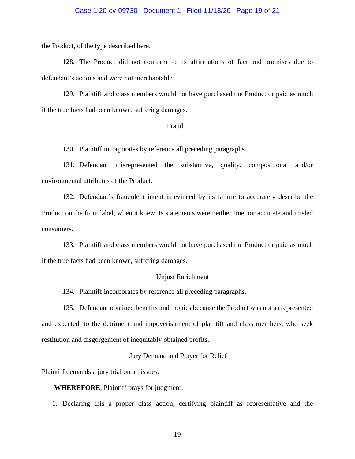### Case 1:20-cv-09730 Document 1 Filed 11/18/20 Page 19 of 21

the Product, of the type described here.

128. The Product did not conform to its affirmations of fact and promises due to defendant's actions and were not merchantable.

129. Plaintiff and class members would not have purchased the Product or paid as much if the true facts had been known, suffering damages.

#### Fraud

130. Plaintiff incorporates by reference all preceding paragraphs.

131. Defendant misrepresented the substantive, quality, compositional and/or environmental attributes of the Product.

132. Defendant's fraudulent intent is evinced by its failure to accurately describe the Product on the front label, when it knew its statements were neither true nor accurate and misled consumers.

133. Plaintiff and class members would not have purchased the Product or paid as much if the true facts had been known, suffering damages.

#### Unjust Enrichment

134. Plaintiff incorporates by reference all preceding paragraphs.

135. Defendant obtained benefits and monies because the Product was not as represented and expected, to the detriment and impoverishment of plaintiff and class members, who seek restitution and disgorgement of inequitably obtained profits.

### Jury Demand and Prayer for Relief

Plaintiff demands a jury trial on all issues.

### **WHEREFORE**, Plaintiff prays for judgment:

1. Declaring this a proper class action, certifying plaintiff as representative and the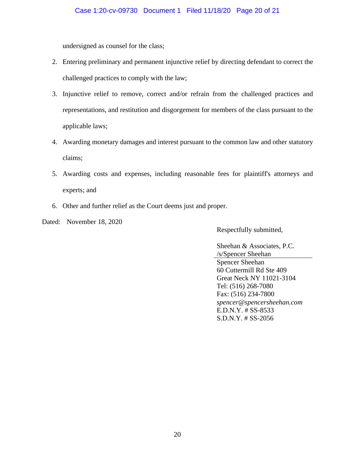# Case 1:20-cv-09730 Document 1 Filed 11/18/20 Page 20 of 21

undersigned as counsel for the class;

- 2. Entering preliminary and permanent injunctive relief by directing defendant to correct the challenged practices to comply with the law;
- 3. Injunctive relief to remove, correct and/or refrain from the challenged practices and representations, and restitution and disgorgement for members of the class pursuant to the applicable laws;
- 4. Awarding monetary damages and interest pursuant to the common law and other statutory claims;
- 5. Awarding costs and expenses, including reasonable fees for plaintiff's attorneys and experts; and
- 6. Other and further relief as the Court deems just and proper.

Dated: November 18, 2020

Respectfully submitted,

Sheehan & Associates, P.C. /s/Spencer Sheehan Spencer Sheehan 60 Cuttermill Rd Ste 409 Great Neck NY 11021-3104 Tel: (516) 268-7080 Fax: (516) 234-7800 *spencer@spencersheehan.com* E.D.N.Y. # SS-8533 S.D.N.Y. # SS-2056